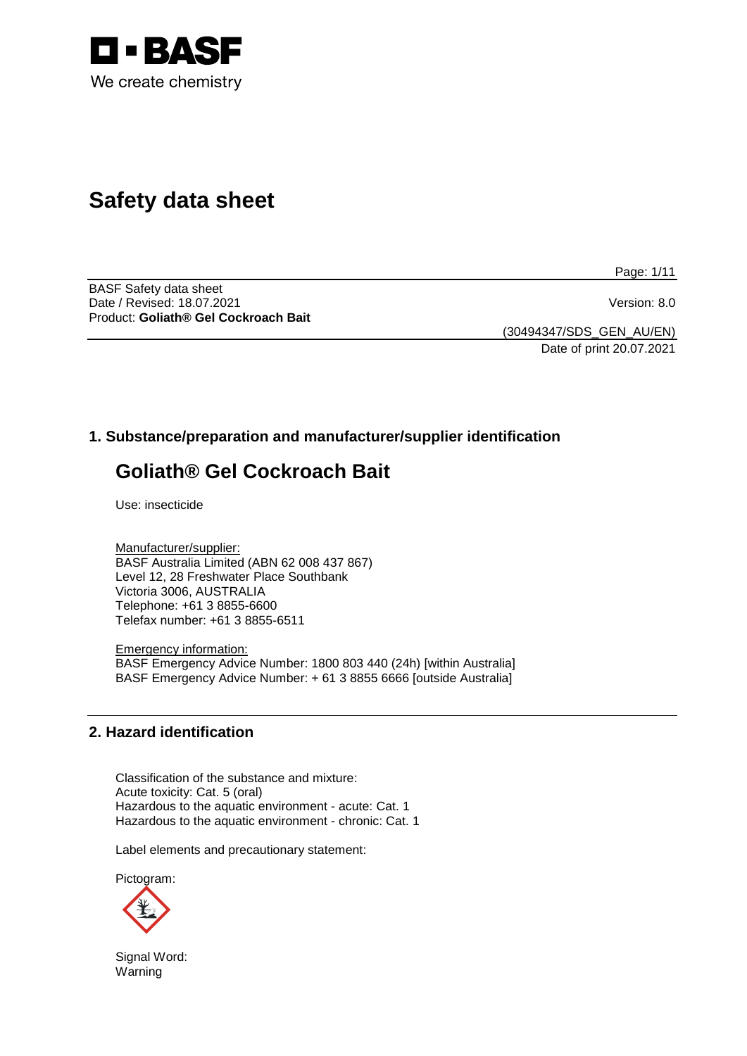

# **Safety data sheet**

Page: 1/11

BASF Safety data sheet Date / Revised: 18.07.2021 Version: 8.0 Product: **Goliath® Gel Cockroach Bait**

(30494347/SDS\_GEN\_AU/EN) Date of print 20.07.2021

# **1. Substance/preparation and manufacturer/supplier identification**

# **Goliath® Gel Cockroach Bait**

Use: insecticide

Manufacturer/supplier: BASF Australia Limited (ABN 62 008 437 867) Level 12, 28 Freshwater Place Southbank Victoria 3006, AUSTRALIA Telephone: +61 3 8855-6600 Telefax number: +61 3 8855-6511

Emergency information: BASF Emergency Advice Number: 1800 803 440 (24h) [within Australia] BASF Emergency Advice Number: + 61 3 8855 6666 [outside Australia]

## **2. Hazard identification**

Classification of the substance and mixture: Acute toxicity: Cat. 5 (oral) Hazardous to the aquatic environment - acute: Cat. 1 Hazardous to the aquatic environment - chronic: Cat. 1

Label elements and precautionary statement:

Pictogram:



Signal Word: Warning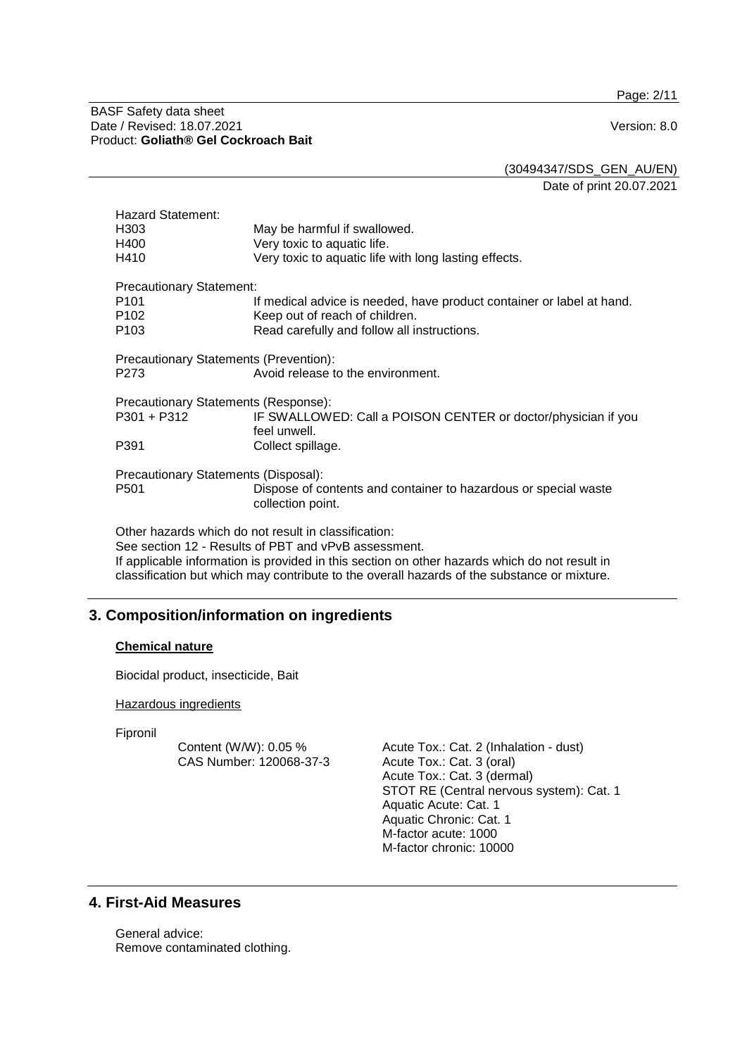Page: 2/11

#### BASF Safety data sheet Date / Revised: 18.07.2021 Version: 8.0 Product: **Goliath® Gel Cockroach Bait**

(30494347/SDS\_GEN\_AU/EN)

Date of print 20.07.2021

| <b>Hazard Statement:</b>                             |                                                                                      |  |  |
|------------------------------------------------------|--------------------------------------------------------------------------------------|--|--|
| H <sub>303</sub>                                     | May be harmful if swallowed.                                                         |  |  |
| H400                                                 | Very toxic to aquatic life.                                                          |  |  |
| H410                                                 | Very toxic to aquatic life with long lasting effects.                                |  |  |
| <b>Precautionary Statement:</b>                      |                                                                                      |  |  |
| P <sub>101</sub>                                     | If medical advice is needed, have product container or label at hand.                |  |  |
| P <sub>102</sub>                                     | Keep out of reach of children.                                                       |  |  |
| P <sub>103</sub>                                     | Read carefully and follow all instructions.                                          |  |  |
| Precautionary Statements (Prevention):               |                                                                                      |  |  |
| P273                                                 | Avoid release to the environment.                                                    |  |  |
| Precautionary Statements (Response):                 |                                                                                      |  |  |
| P301 + P312                                          | IF SWALLOWED: Call a POISON CENTER or doctor/physician if you<br>feel unwell.        |  |  |
| P391                                                 | Collect spillage.                                                                    |  |  |
|                                                      |                                                                                      |  |  |
| Precautionary Statements (Disposal):                 |                                                                                      |  |  |
| P <sub>501</sub>                                     | Dispose of contents and container to hazardous or special waste<br>collection point. |  |  |
| Other hazards which do not result in classification: |                                                                                      |  |  |

See section 12 - Results of PBT and vPvB assessment. If applicable information is provided in this section on other hazards which do not result in classification but which may contribute to the overall hazards of the substance or mixture.

# **3. Composition/information on ingredients**

## **Chemical nature**

Biocidal product, insecticide, Bait

#### Hazardous ingredients

Fipronil

Content (W/W): 0.05 % CAS Number: 120068-37-3 Acute Tox.: Cat. 2 (Inhalation - dust) Acute Tox.: Cat. 3 (oral) Acute Tox.: Cat. 3 (dermal) STOT RE (Central nervous system): Cat. 1 Aquatic Acute: Cat. 1 Aquatic Chronic: Cat. 1 M-factor acute: 1000 M-factor chronic: 10000

# **4. First-Aid Measures**

General advice: Remove contaminated clothing.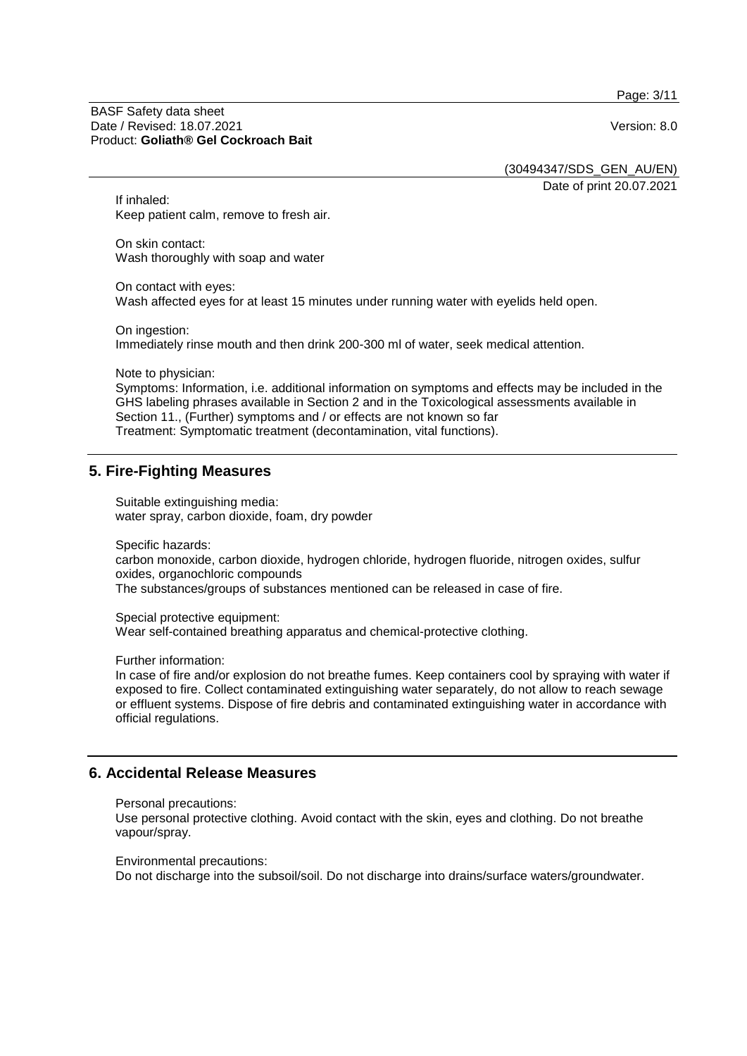Page: 3/11

#### BASF Safety data sheet Date / Revised: 18.07.2021 Version: 8.0 Product: **Goliath® Gel Cockroach Bait**

(30494347/SDS\_GEN\_AU/EN)

Date of print 20.07.2021

If inhaled: Keep patient calm, remove to fresh air.

On skin contact: Wash thoroughly with soap and water

On contact with eyes: Wash affected eyes for at least 15 minutes under running water with eyelids held open.

On ingestion: Immediately rinse mouth and then drink 200-300 ml of water, seek medical attention.

Note to physician:

Symptoms: Information, i.e. additional information on symptoms and effects may be included in the GHS labeling phrases available in Section 2 and in the Toxicological assessments available in Section 11., (Further) symptoms and / or effects are not known so far Treatment: Symptomatic treatment (decontamination, vital functions).

# **5. Fire-Fighting Measures**

Suitable extinguishing media: water spray, carbon dioxide, foam, dry powder

Specific hazards:

carbon monoxide, carbon dioxide, hydrogen chloride, hydrogen fluoride, nitrogen oxides, sulfur oxides, organochloric compounds The substances/groups of substances mentioned can be released in case of fire.

Special protective equipment:

Wear self-contained breathing apparatus and chemical-protective clothing.

Further information:

In case of fire and/or explosion do not breathe fumes. Keep containers cool by spraying with water if exposed to fire. Collect contaminated extinguishing water separately, do not allow to reach sewage or effluent systems. Dispose of fire debris and contaminated extinguishing water in accordance with official regulations.

## **6. Accidental Release Measures**

Personal precautions:

Use personal protective clothing. Avoid contact with the skin, eyes and clothing. Do not breathe vapour/spray.

Environmental precautions:

Do not discharge into the subsoil/soil. Do not discharge into drains/surface waters/groundwater.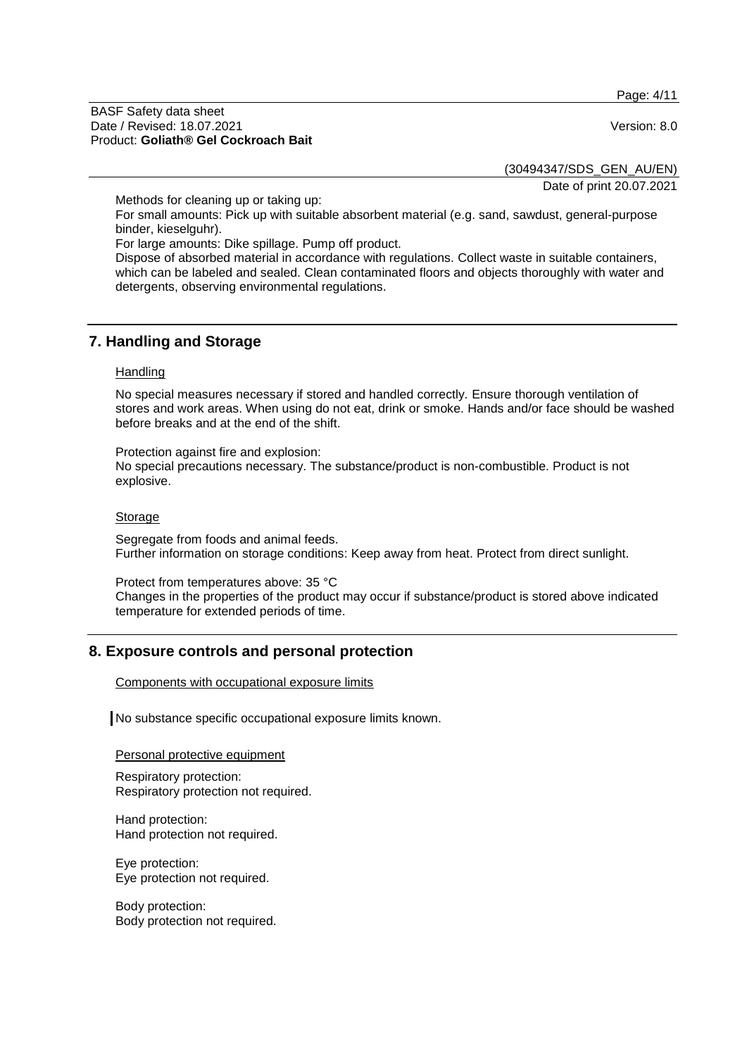Page: 4/11

#### BASF Safety data sheet Date / Revised: 18.07.2021 Version: 8.0 Product: **Goliath® Gel Cockroach Bait**

(30494347/SDS\_GEN\_AU/EN)

Date of print 20.07.2021

Methods for cleaning up or taking up:

For small amounts: Pick up with suitable absorbent material (e.g. sand, sawdust, general-purpose binder, kieselguhr).

For large amounts: Dike spillage. Pump off product.

Dispose of absorbed material in accordance with regulations. Collect waste in suitable containers, which can be labeled and sealed. Clean contaminated floors and objects thoroughly with water and detergents, observing environmental regulations.

## **7. Handling and Storage**

#### **Handling**

No special measures necessary if stored and handled correctly. Ensure thorough ventilation of stores and work areas. When using do not eat, drink or smoke. Hands and/or face should be washed before breaks and at the end of the shift.

Protection against fire and explosion: No special precautions necessary. The substance/product is non-combustible. Product is not explosive.

#### Storage

Segregate from foods and animal feeds. Further information on storage conditions: Keep away from heat. Protect from direct sunlight.

Protect from temperatures above: 35 °C

Changes in the properties of the product may occur if substance/product is stored above indicated temperature for extended periods of time.

## **8. Exposure controls and personal protection**

Components with occupational exposure limits

No substance specific occupational exposure limits known.

Personal protective equipment

Respiratory protection: Respiratory protection not required.

Hand protection: Hand protection not required.

Eye protection: Eye protection not required.

Body protection: Body protection not required.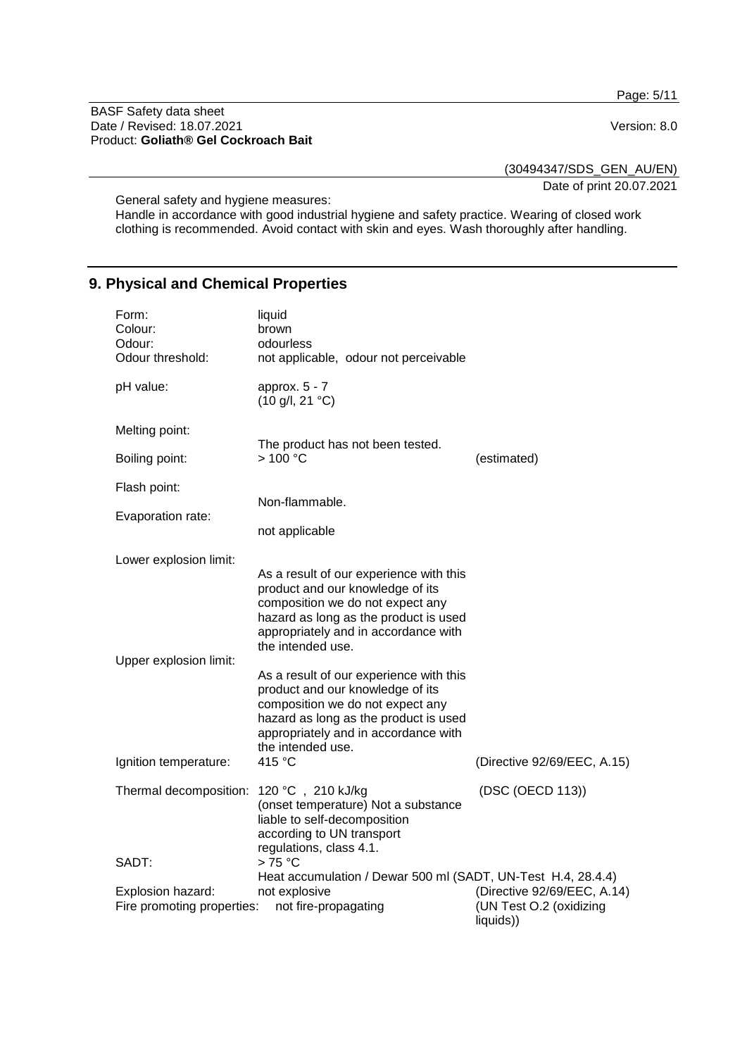Page: 5/11

BASF Safety data sheet Date / Revised: 18.07.2021 **Version: 8.0** Product: **Goliath® Gel Cockroach Bait**

(30494347/SDS\_GEN\_AU/EN)

Date of print 20.07.2021

General safety and hygiene measures:

Handle in accordance with good industrial hygiene and safety practice. Wearing of closed work clothing is recommended. Avoid contact with skin and eyes. Wash thoroughly after handling.

# **9. Physical and Chemical Properties**

| Form:<br>Colour:<br>Odour:<br>Odour threshold:  | liquid<br>brown<br>odourless<br>not applicable, odour not perceivable                                                                                                                                                                                                                                                                                                                                                                          |                                                                     |
|-------------------------------------------------|------------------------------------------------------------------------------------------------------------------------------------------------------------------------------------------------------------------------------------------------------------------------------------------------------------------------------------------------------------------------------------------------------------------------------------------------|---------------------------------------------------------------------|
| pH value:                                       | approx. $5 - 7$<br>$(10 \text{ g/l}, 21 \text{ }^{\circ}\text{C})$                                                                                                                                                                                                                                                                                                                                                                             |                                                                     |
| Melting point:                                  |                                                                                                                                                                                                                                                                                                                                                                                                                                                |                                                                     |
| Boiling point:                                  | The product has not been tested.<br>>100 °C                                                                                                                                                                                                                                                                                                                                                                                                    | (estimated)                                                         |
| Flash point:                                    | Non-flammable.                                                                                                                                                                                                                                                                                                                                                                                                                                 |                                                                     |
| Evaporation rate:                               | not applicable                                                                                                                                                                                                                                                                                                                                                                                                                                 |                                                                     |
| Lower explosion limit:                          |                                                                                                                                                                                                                                                                                                                                                                                                                                                |                                                                     |
| Upper explosion limit:                          | As a result of our experience with this<br>product and our knowledge of its<br>composition we do not expect any<br>hazard as long as the product is used<br>appropriately and in accordance with<br>the intended use.<br>As a result of our experience with this<br>product and our knowledge of its<br>composition we do not expect any<br>hazard as long as the product is used<br>appropriately and in accordance with<br>the intended use. |                                                                     |
| Ignition temperature:                           | 415 °C                                                                                                                                                                                                                                                                                                                                                                                                                                         | (Directive 92/69/EEC, A.15)                                         |
| Thermal decomposition:                          | 120 °C, 210 kJ/kg<br>(onset temperature) Not a substance<br>liable to self-decomposition<br>according to UN transport<br>regulations, class 4.1.                                                                                                                                                                                                                                                                                               | (DSC (OECD 113))                                                    |
| SADT:                                           | $>75^{\circ}$ C<br>Heat accumulation / Dewar 500 ml (SADT, UN-Test H.4, 28.4.4)                                                                                                                                                                                                                                                                                                                                                                |                                                                     |
| Explosion hazard:<br>Fire promoting properties: | not explosive<br>not fire-propagating                                                                                                                                                                                                                                                                                                                                                                                                          | (Directive 92/69/EEC, A.14)<br>(UN Test O.2 (oxidizing<br>liquids)) |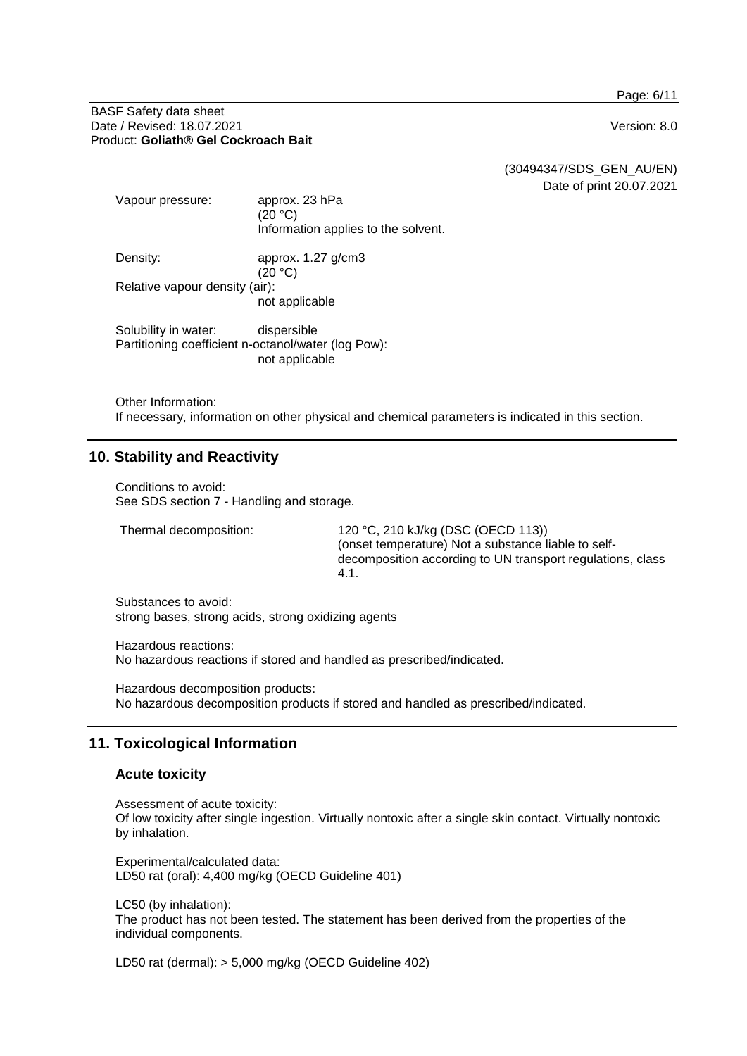Page: 6/11

#### BASF Safety data sheet Date / Revised: 18.07.2021 **Version: 8.0** Product: **Goliath® Gel Cockroach Bait**

(30494347/SDS\_GEN\_AU/EN)

Date of print 20.07.2021

| Vapour pressure:                                                            | approx. 23 hPa<br>(20 °C)<br>Information applies to the solvent. |
|-----------------------------------------------------------------------------|------------------------------------------------------------------|
| Density:                                                                    | approx. $1.27$ g/cm3<br>(20 °C)                                  |
| Relative vapour density (air):                                              | not applicable                                                   |
| Solubility in water:<br>Partitioning coefficient n-octanol/water (log Pow): | dispersible<br>not applicable                                    |

Other Information:

If necessary, information on other physical and chemical parameters is indicated in this section.

# **10. Stability and Reactivity**

Conditions to avoid: See SDS section 7 - Handling and storage.

Thermal decomposition: 120 °C, 210 kJ/kg (DSC (OECD 113)) (onset temperature) Not a substance liable to selfdecomposition according to UN transport regulations, class 4.1.

Substances to avoid: strong bases, strong acids, strong oxidizing agents

Hazardous reactions: No hazardous reactions if stored and handled as prescribed/indicated.

Hazardous decomposition products: No hazardous decomposition products if stored and handled as prescribed/indicated.

## **11. Toxicological Information**

## **Acute toxicity**

Assessment of acute toxicity: Of low toxicity after single ingestion. Virtually nontoxic after a single skin contact. Virtually nontoxic by inhalation.

Experimental/calculated data: LD50 rat (oral): 4,400 mg/kg (OECD Guideline 401)

LC50 (by inhalation): The product has not been tested. The statement has been derived from the properties of the individual components.

LD50 rat (dermal): > 5,000 mg/kg (OECD Guideline 402)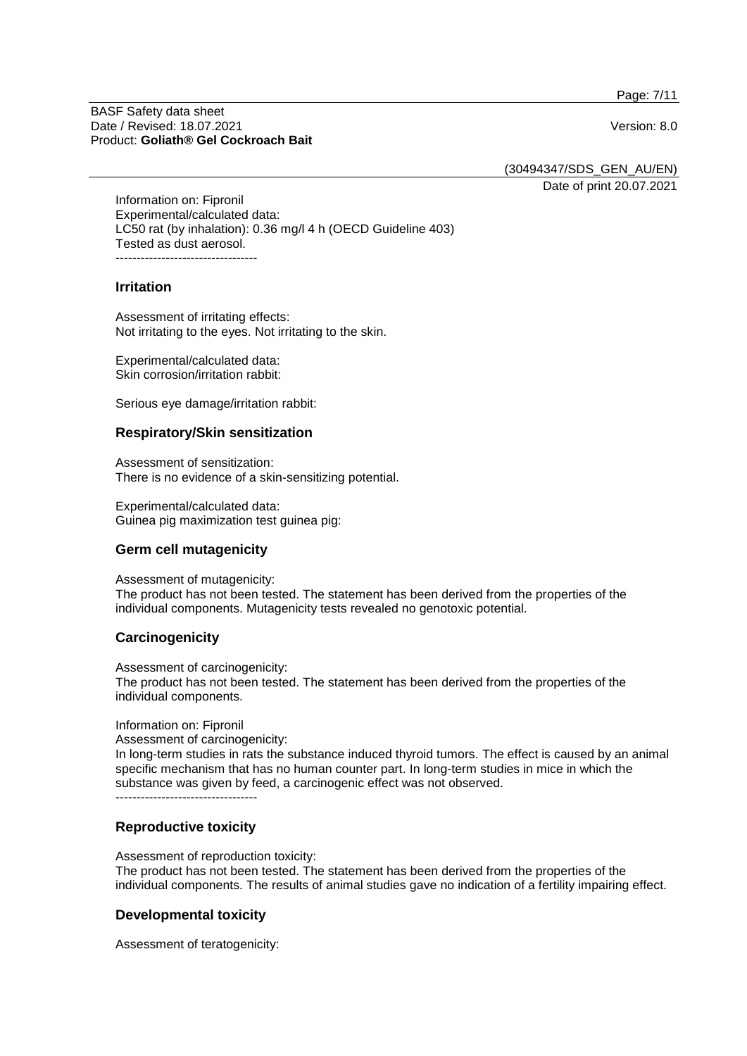Page: 7/11

#### BASF Safety data sheet Date / Revised: 18.07.2021 Version: 8.0 Product: **Goliath® Gel Cockroach Bait**

(30494347/SDS\_GEN\_AU/EN)

Date of print 20.07.2021

Information on: Fipronil Experimental/calculated data: LC50 rat (by inhalation): 0.36 mg/l 4 h (OECD Guideline 403) Tested as dust aerosol. ----------------------------------

#### **Irritation**

Assessment of irritating effects: Not irritating to the eyes. Not irritating to the skin.

Experimental/calculated data: Skin corrosion/irritation rabbit:

Serious eye damage/irritation rabbit:

#### **Respiratory/Skin sensitization**

Assessment of sensitization: There is no evidence of a skin-sensitizing potential.

Experimental/calculated data: Guinea pig maximization test guinea pig:

## **Germ cell mutagenicity**

Assessment of mutagenicity:

The product has not been tested. The statement has been derived from the properties of the individual components. Mutagenicity tests revealed no genotoxic potential.

## **Carcinogenicity**

Assessment of carcinogenicity: The product has not been tested. The statement has been derived from the properties of the individual components.

Information on: Fipronil

Assessment of carcinogenicity:

In long-term studies in rats the substance induced thyroid tumors. The effect is caused by an animal specific mechanism that has no human counter part. In long-term studies in mice in which the substance was given by feed, a carcinogenic effect was not observed.

----------------------------------

## **Reproductive toxicity**

Assessment of reproduction toxicity:

The product has not been tested. The statement has been derived from the properties of the individual components. The results of animal studies gave no indication of a fertility impairing effect.

## **Developmental toxicity**

Assessment of teratogenicity: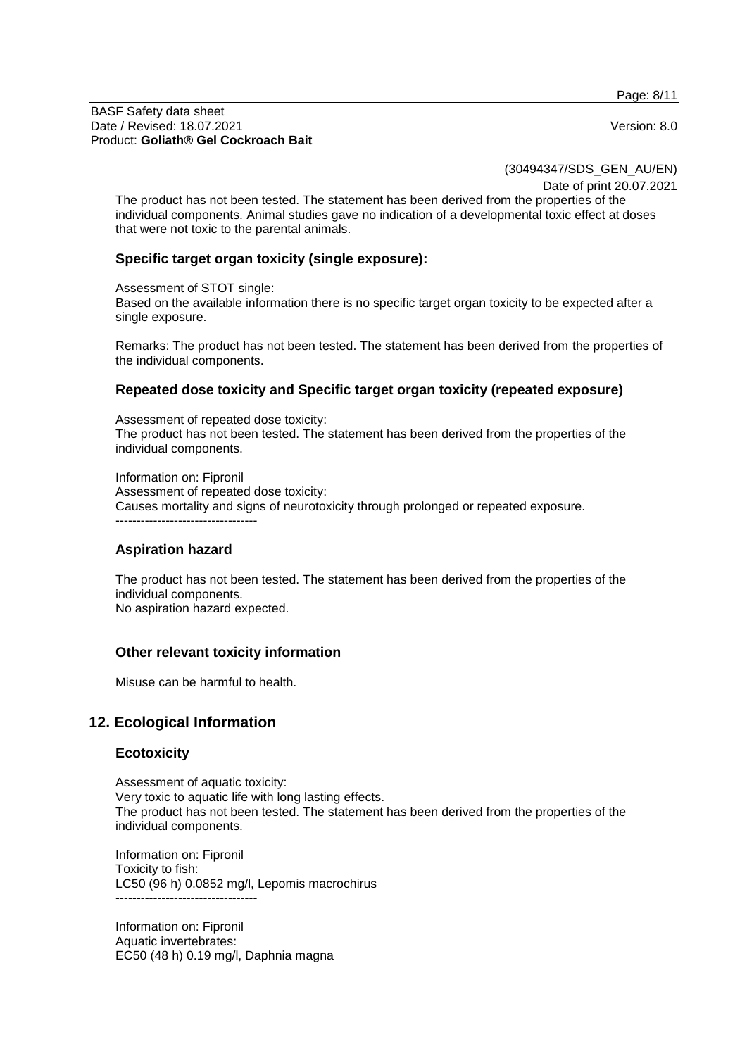Page: 8/11

#### BASF Safety data sheet Date / Revised: 18.07.2021 **Version: 8.0** Product: **Goliath® Gel Cockroach Bait**

(30494347/SDS\_GEN\_AU/EN)

Date of print 20.07.2021

The product has not been tested. The statement has been derived from the properties of the individual components. Animal studies gave no indication of a developmental toxic effect at doses that were not toxic to the parental animals.

#### **Specific target organ toxicity (single exposure):**

Assessment of STOT single:

Based on the available information there is no specific target organ toxicity to be expected after a single exposure.

Remarks: The product has not been tested. The statement has been derived from the properties of the individual components.

#### **Repeated dose toxicity and Specific target organ toxicity (repeated exposure)**

Assessment of repeated dose toxicity: The product has not been tested. The statement has been derived from the properties of the individual components.

Information on: Fipronil Assessment of repeated dose toxicity: Causes mortality and signs of neurotoxicity through prolonged or repeated exposure. ----------------------------------

#### **Aspiration hazard**

The product has not been tested. The statement has been derived from the properties of the individual components. No aspiration hazard expected.

## **Other relevant toxicity information**

Misuse can be harmful to health.

# **12. Ecological Information**

#### **Ecotoxicity**

Assessment of aquatic toxicity: Very toxic to aquatic life with long lasting effects. The product has not been tested. The statement has been derived from the properties of the individual components.

Information on: Fipronil Toxicity to fish: LC50 (96 h) 0.0852 mg/l, Lepomis macrochirus ----------------------------------

Information on: Fipronil Aquatic invertebrates: EC50 (48 h) 0.19 mg/l, Daphnia magna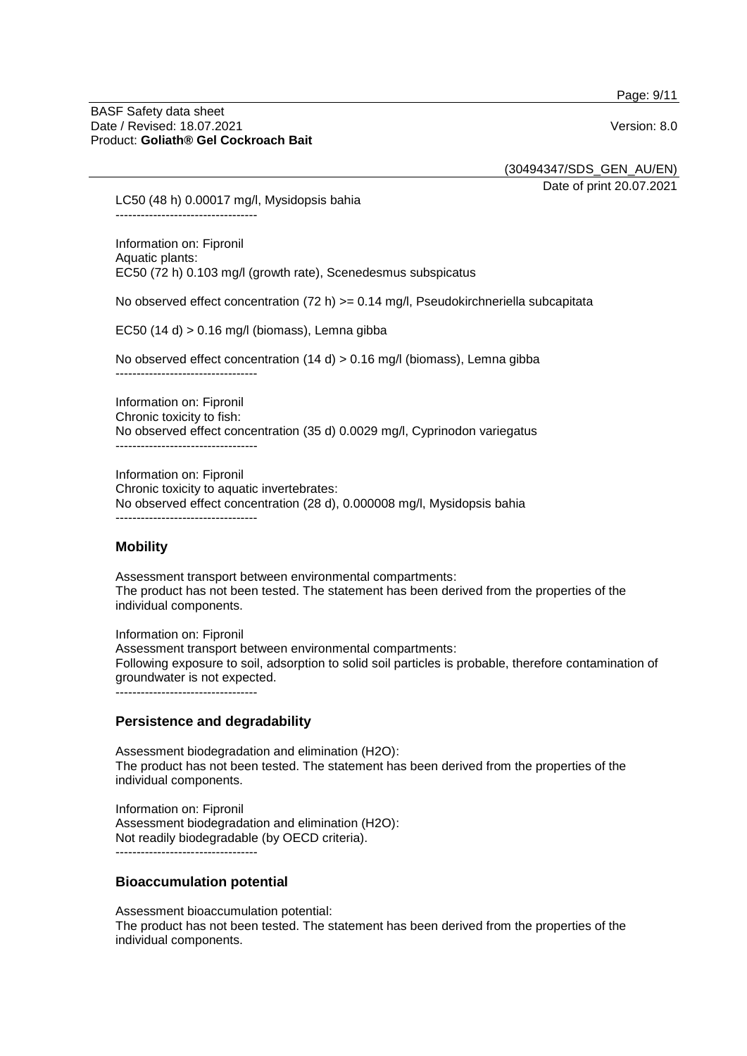Page: 9/11

#### BASF Safety data sheet Date / Revised: 18.07.2021 **Version: 8.0** Product: **Goliath® Gel Cockroach Bait**

(30494347/SDS\_GEN\_AU/EN)

Date of print 20.07.2021

LC50 (48 h) 0.00017 mg/l, Mysidopsis bahia ----------------------------------

Information on: Fipronil Aquatic plants: EC50 (72 h) 0.103 mg/l (growth rate), Scenedesmus subspicatus

No observed effect concentration (72 h)  $>= 0.14$  mg/l, Pseudokirchneriella subcapitata

EC50 (14 d) > 0.16 mg/l (biomass), Lemna gibba

No observed effect concentration  $(14 \text{ d})$  > 0.16 mg/l (biomass), Lemna gibba

----------------------------------

Information on: Fipronil Chronic toxicity to fish: No observed effect concentration (35 d) 0.0029 mg/l, Cyprinodon variegatus ----------------------------------

Information on: Fipronil Chronic toxicity to aquatic invertebrates: No observed effect concentration (28 d), 0.000008 mg/l, Mysidopsis bahia ----------------------------------

## **Mobility**

Assessment transport between environmental compartments: The product has not been tested. The statement has been derived from the properties of the individual components.

Information on: Fipronil Assessment transport between environmental compartments: Following exposure to soil, adsorption to solid soil particles is probable, therefore contamination of groundwater is not expected. ----------------------------------

## **Persistence and degradability**

Assessment biodegradation and elimination (H2O): The product has not been tested. The statement has been derived from the properties of the individual components.

Information on: Fipronil Assessment biodegradation and elimination (H2O): Not readily biodegradable (by OECD criteria). ----------------------------------

## **Bioaccumulation potential**

Assessment bioaccumulation potential: The product has not been tested. The statement has been derived from the properties of the individual components.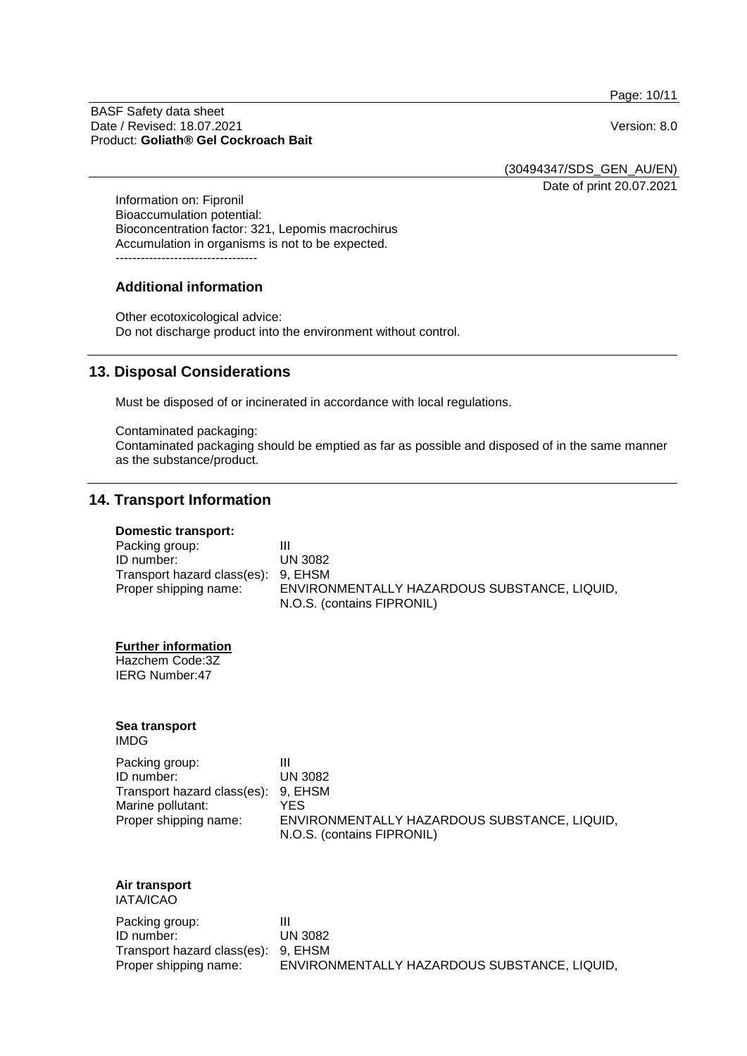Page: 10/11

BASF Safety data sheet Date / Revised: 18.07.2021 Version: 8.0 Product: **Goliath® Gel Cockroach Bait**

(30494347/SDS\_GEN\_AU/EN)

Date of print 20.07.2021

Information on: Fipronil Bioaccumulation potential: Bioconcentration factor: 321, Lepomis macrochirus Accumulation in organisms is not to be expected. ----------------------------------

#### **Additional information**

Other ecotoxicological advice: Do not discharge product into the environment without control.

## **13. Disposal Considerations**

Must be disposed of or incinerated in accordance with local regulations.

Contaminated packaging: Contaminated packaging should be emptied as far as possible and disposed of in the same manner as the substance/product.

## **14. Transport Information**

#### **Domestic transport:**

| Packing group:                      | Ш                                            |
|-------------------------------------|----------------------------------------------|
| ID number:                          | <b>UN 3082</b>                               |
| Transport hazard class(es): 9, EHSM |                                              |
| Proper shipping name:               | ENVIRONMENTALLY HAZARDOUS SUBSTANCE, LIQUID, |
|                                     | N.O.S. (contains FIPRONIL)                   |

#### **Further information**

Hazchem Code:3Z IERG Number:47

#### **Sea transport** IMDG

| Packing group:                      | Ш                                            |
|-------------------------------------|----------------------------------------------|
| ID number:                          | <b>UN 3082</b>                               |
| Transport hazard class(es): 9, EHSM |                                              |
| Marine pollutant:                   | YES                                          |
| Proper shipping name:               | ENVIRONMENTALLY HAZARDOUS SUBSTANCE, LIQUID, |
|                                     | N.O.S. (contains FIPRONIL)                   |

#### **Air transport** IATA/ICAO

| Packing group:                      |                                              |
|-------------------------------------|----------------------------------------------|
| ID number:                          | <b>UN 3082</b>                               |
| Transport hazard class(es): 9, EHSM |                                              |
| Proper shipping name:               | ENVIRONMENTALLY HAZARDOUS SUBSTANCE, LIQUID, |